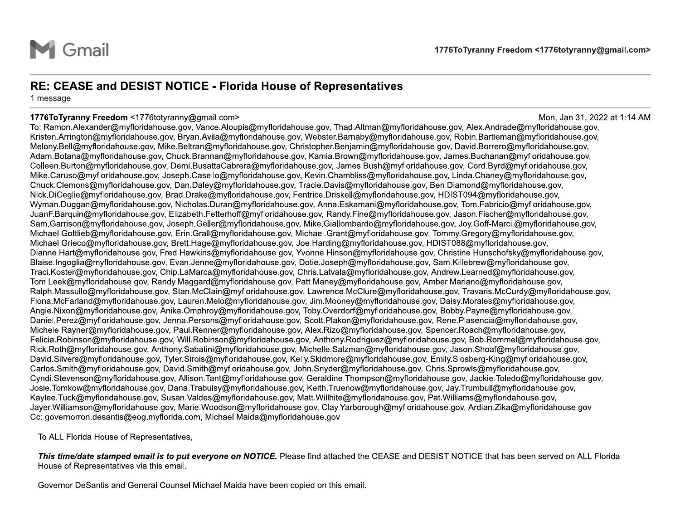

1776ToTyranny Freedom<br>
Sentatives<br>
M.Altman@myfloridahouse.gov, Alex.Andrade@m<br>
M.Altman@myfloridahouse.gov, Alex.Andrade@m 1776ToTyranny Freedom <1776totyra<br>
2017<br>
2017, Mon, Jan<br>
2017, Mon, Jan<br>
2017 Periode David Charles Consultant<br>
2018, Mon, Jan<br>
2018, Periode Consultant Charles Consultant<br>
2018, Periode Consultant Charlotter 1776ToTyranny Freedom <1776totyranny@gmail.co<br>Mon, Jan 31, 2022 at 1:14<br>Mon, Jan 31, 2022 at 1:14<br>Non, Jan 31, 2022 at 1:14 1776ToTyranny Freedom <1776totyranny@gmail.com<br>
RE: CEASE and DESIST NOTICE - Florida House of Representatives<br>
1776ToTyranny Freedom <1776totyranny@gmail.com<br>
1776ToTyranny Freedom 1776totyranny@gmail.com<br>
1776ToTyranny 1776ToTyranny Free<br>
1776ToTyranny Free<br>
1776ToTyranny Free<br>
1776ToTyranny Free<br>
1776ToTyranny Freedom <1776totyranny@gmail.com<br>
1776ToTyranny Freedom <1776totyranny@gmail.com<br>
1776ToTyranny Freedom <1776totyranny@gmail.com **CEASE and DESIST NOTE:**<br>
THE: CEASE and DESIST NOT<br>
THE STAGE AND THE STAR TO THE SAMPLE TO THE SAMPLE THE STAR TO: Ramon.Alexander@myfloridahouse Kristen.Arrington@myfloridahouse.gov, Mike<br>
Adam.Botana@myfloridahouse.gov  $\begin{minipage}[t]{0.5cm}\textbf{[1] \textbf{[0.06] \textbf{[0.06] \textbf{[0.06] \textbf{[0.06] \textbf{[0.06] \textbf{[0.06] \textbf{[0.06] \textbf{[0.06] \textbf{[0.06] \textbf{[0.06] \textbf{[0.06] \textbf{[0.06] \textbf{[0.06] \textbf{[0.06] \textbf{[0.06] \textbf{[0.06] \textbf{[0.06] \textbf{[0.06] \textbf{[0.06] \textbf{[0.06]$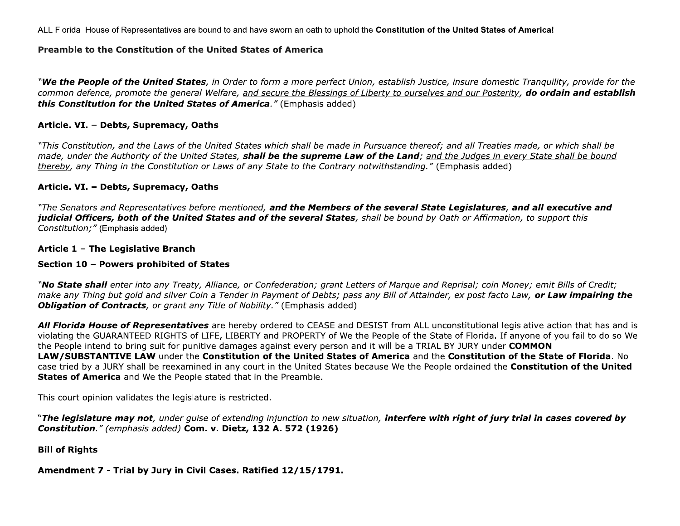ALL Florida House of Representatives are bound to and have sworn an oath to uphold the Constitution of the United States of America!

## Preamble to the Constitution of the United States of America

"We the People of the United States, in Order to form a more perfect Union, establish Justice, insure domestic Tranquility, provide for the common defence, promote the general Welfare, and secure the Blessings of Liberty to ourselves and our Posterity, do ordain and establish this Constitution for the United States of America." (Emphasis added)

## Article. VI. - Debts, Supremacy, Oaths

"This Constitution, and the Laws of the United States which shall be made in Pursuance thereof; and all Treaties made, or which shall be made, under the Authority of the United States, shall be the supreme Law of the Land; and the Judges in every State shall be bound thereby, any Thing in the Constitution or Laws of any State to the Contrary notwithstanding." (Emphasis added)

## Article. VI. - Debts, Supremacy, Oaths

"The Senators and Representatives before mentioned, and the Members of the several State Legislatures, and all executive and judicial Officers, both of the United States and of the several States, shall be bound by Oath or Affirmation, to support this Constitution;" (Emphasis added)

### Article 1 - The Legislative Branch

#### Section 10 - Powers prohibited of States

"No State shall enter into any Treaty, Alliance, or Confederation; grant Letters of Marque and Reprisal; coin Money; emit Bills of Credit; make any Thing but gold and silver Coin a Tender in Payment of Debts; pass any Bill of Attainder, ex post facto Law, or Law impairing the **Obligation of Contracts**, or grant any Title of Nobility." (Emphasis added)

All Florida House of Representatives are hereby ordered to CEASE and DESIST from ALL unconstitutional legislative action that has and is violating the GUARANTEED RIGHTS of LIFE, LIBERTY and PROPERTY of We the People of the State of Florida. If anyone of you fail to do so We the People intend to bring suit for punitive damages against every person and it will be a TRIAL BY JURY under COMMON LAW/SUBSTANTIVE LAW under the Constitution of the United States of America and the Constitution of the State of Florida. No case tried by a JURY shall be reexamined in any court in the United States because We the People ordained the Constitution of the United **States of America** and We the People stated that in the Preamble.

This court opinion validates the legislature is restricted.

"The legislature may not, under quise of extending injunction to new situation, interfere with right of jury trial in cases covered by Constitution." (emphasis added) Com. v. Dietz, 132 A. 572 (1926)

## **Bill of Rights**

Amendment 7 - Trial by Jury in Civil Cases. Ratified 12/15/1791.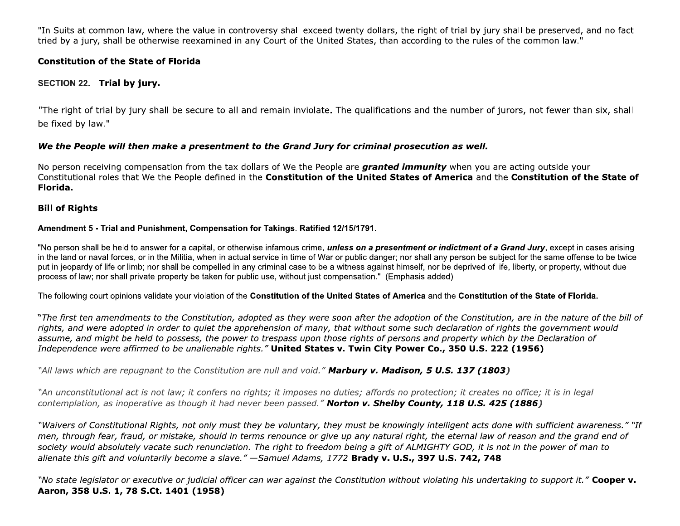"In Suits at common law, where the value in controversy shall exceed twenty dollars, the right of trial by jury shall be preserved, and no fact tried by a jury, shall be otherwise reexamined in any Court of the United States, than according to the rules of the common law."

# **Constitution of the State of Florida**

# SECTION 22. Trial by jury.

"The right of trial by jury shall be secure to all and remain inviolate. The qualifications and the number of jurors, not fewer than six, shall be fixed by law."

# We the People will then make a presentment to the Grand Jury for criminal prosecution as well.

No person receiving compensation from the tax dollars of We the People are **granted immunity** when you are acting outside your Constitutional roles that We the People defined in the Constitution of the United States of America and the Constitution of the State of Florida.

## **Bill of Rights**

## Amendment 5 - Trial and Punishment, Compensation for Takings. Ratified 12/15/1791.

"No person shall be held to answer for a capital, or otherwise infamous crime, *unless on a presentment or indictment of a Grand Jury*, except in cases arising in the land or naval forces, or in the Militia, when in actual service in time of War or public danger; nor shall any person be subject for the same offense to be twice put in jeopardy of life or limb; nor shall be compelled in any criminal case to be a witness against himself, nor be deprived of life, liberty, or property, without due process of law; nor shall private property be taken for public use, without just compensation." (Emphasis added)

The following court opinions validate your violation of the Constitution of the United States of America and the Constitution of the State of Florida.

"The first ten amendments to the Constitution, adopted as they were soon after the adoption of the Constitution, are in the nature of the bill of rights, and were adopted in order to quiet the apprehension of many, that without some such declaration of rights the government would assume, and might be held to possess, the power to trespass upon those rights of persons and property which by the Declaration of Independence were affirmed to be unalienable rights." United States v. Twin City Power Co., 350 U.S. 222 (1956)

"All laws which are repugnant to the Constitution are null and void." Marbury v. Madison, 5 U.S. 137 (1803)

"An unconstitutional act is not law; it confers no rights; it imposes no duties; affords no protection; it creates no office; it is in legal contemplation, as inoperative as though it had never been passed." Norton v. Shelby County, 118 U.S. 425 (1886)

"Waivers of Constitutional Rights, not only must they be voluntary, they must be knowingly intelligent acts done with sufficient awareness." "If men, through fear, fraud, or mistake, should in terms renounce or give up any natural right, the eternal law of reason and the grand end of society would absolutely vacate such renunciation. The right to freedom being a gift of ALMIGHTY GOD, it is not in the power of man to alienate this gift and voluntarily become a slave." -Samuel Adams, 1772 Brady v. U.S., 397 U.S. 742, 748

"No state legislator or executive or judicial officer can war against the Constitution without violating his undertaking to support it." Cooper v. Aaron, 358 U.S. 1, 78 S.Ct. 1401 (1958)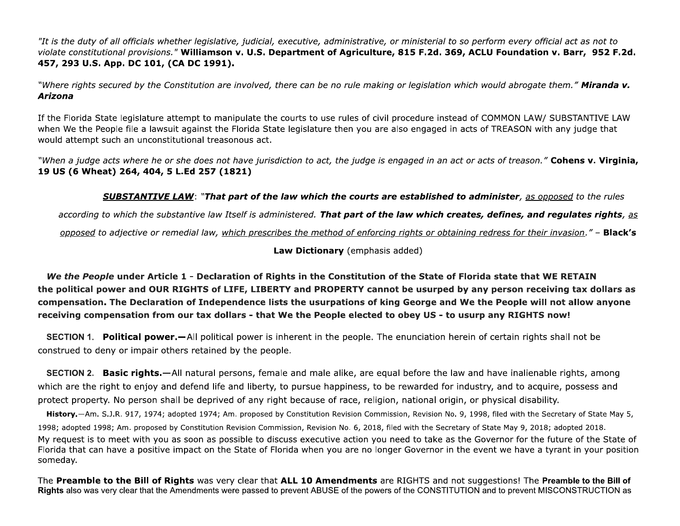"It is the duty of all officials whether legislative, judicial, executive, administrative, or ministerial to so perform every official act as not to violate constitutional provisions." Williamson v. U.S. Department of Agriculture, 815 F.2d. 369, ACLU Foundation v. Barr, 952 F.2d. 457, 293 U.S. App. DC 101, (CA DC 1991).

"Where rights secured by the Constitution are involved, there can be no rule making or legislation which would abrogate them." Miranda v. Arizona

If the Florida State legislature attempt to manipulate the courts to use rules of civil procedure instead of COMMON LAW/ SUBSTANTIVE LAW when We the People file a lawsuit against the Florida State legislature then you are also engaged in acts of TREASON with any judge that would attempt such an unconstitutional treasonous act.

"When a judge acts where he or she does not have jurisdiction to act, the judge is engaged in an act or acts of treason." **Cohens v. Virginia,** 19 US (6 Wheat) 264, 404, 5 L.Ed 257 (1821)

**SUBSTANTIVE LAW: "That part of the law which the courts are established to administer**, as opposed to the rules

according to which the substantive law Itself is administered. That part of the law which creates, defines, and regulates rights, as

opposed to adjective or remedial law, which prescribes the method of enforcing rights or obtaining redress for their invasion." - Black's

Law Dictionary (emphasis added)

We the People under Article 1 - Declaration of Rights in the Constitution of the State of Florida state that WE RETAIN the political power and OUR RIGHTS of LIFE, LIBERTY and PROPERTY cannot be usurped by any person receiving tax dollars as compensation. The Declaration of Independence lists the usurpations of king George and We the People will not allow anyone receiving compensation from our tax dollars - that We the People elected to obey US - to usurp any RIGHTS now!

**SECTION 1. Political power.**—All political power is inherent in the people. The enunciation herein of certain rights shall not be construed to deny or impair others retained by the people.

**SECTION 2. Basic rights.**—All natural persons, female and male alike, are equal before the law and have inalienable rights, among which are the right to enjoy and defend life and liberty, to pursue happiness, to be rewarded for industry, and to acquire, possess and protect property. No person shall be deprived of any right because of race, religion, national origin, or physical disability.

History.-Am. S.J.R. 917, 1974; adopted 1974; Am. proposed by Constitution Revision Commission, Revision No. 9, 1998, filed with the Secretary of State May 5, 1998; adopted 1998; Am. proposed by Constitution Revision Commission, Revision No. 6, 2018, filed with the Secretary of State May 9, 2018; adopted 2018. My request is to meet with you as soon as possible to discuss executive action you need to take as the Governor for the future of the State of Florida that can have a positive impact on the State of Florida when you are no longer Governor in the event we have a tyrant in your position someday.

The Preamble to the Bill of Rights was very clear that ALL 10 Amendments are RIGHTS and not suggestions! The Preamble to the Bill of Rights also was very clear that the Amendments were passed to prevent ABUSE of the powers of the CONSTITUTION and to prevent MISCONSTRUCTION as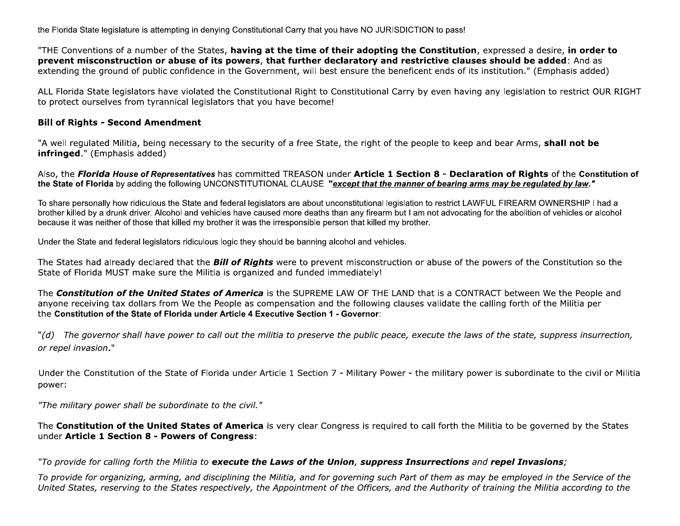the Florida State legislature is attempting in denying Constitutional Carry that you have NO JURISDICTION to pass!

"THE Conventions of a number of the States, having at the time of their adopting the Constitution, expressed a desire, in order to prevent misconstruction or abuse of its powers, that further declaratory and restrictive clauses should be added: And as extending the ground of public confidence in the Government, will best ensure the beneficent ends of its institution." (Emphasis added)

ALL Florida State legislators have violated the Constitutional Right to Constitutional Carry by even having any legislation to restrict OUR RIGHT to protect ourselves from tyrannical legislators that you have become!

### **Bill of Rights - Second Amendment**

"A well regulated Militia, being necessary to the security of a free State, the right of the people to keep and bear Arms, shall not be infringed." (Emphasis added)

Also, the Florida House of Representatives has committed TREASON under Article 1 Section 8 - Declaration of Rights of the Constitution of the State of Florida by adding the following UNCONSTITUTIONAL CLAUSE "except that the manner of bearing arms may be regulated by law."

To share personally how ridiculous the State and federal legislators are about unconstitutional legislation to restrict LAWFUL FIREARM OWNERSHIP I had a brother killed by a drunk driver. Alcohol and vehicles have caused more deaths than any firearm but I am not advocating for the abolition of vehicles or alcohol because it was neither of those that killed my brother it was the irresponsible person that killed my brother.

Under the State and federal legislators ridiculous logic they should be banning alcohol and vehicles.

The States had already declared that the **Bill of Rights** were to prevent misconstruction or abuse of the powers of the Constitution so the State of Florida MUST make sure the Militia is organized and funded immediately!

The **Constitution of the United States of America** is the SUPREME LAW OF THE LAND that is a CONTRACT between We the People and anyone receiving tax dollars from We the People as compensation and the following clauses validate the calling forth of the Militia per the Constitution of the State of Florida under Article 4 Executive Section 1 - Governor:

"(d) The governor shall have power to call out the militia to preserve the public peace, execute the laws of the state, suppress insurrection, or repel invasion."

Under the Constitution of the State of Florida under Article 1 Section 7 - Military Power - the military power is subordinate to the civil or Militia power:

"The military power shall be subordinate to the civil."

The **Constitution of the United States of America** is very clear Congress is required to call forth the Militia to be governed by the States under Article 1 Section 8 - Powers of Congress:

## "To provide for calling forth the Militia to execute the Laws of the Union, suppress Insurrections and repel Invasions;

To provide for organizing, arming, and disciplining the Militia, and for governing such Part of them as may be employed in the Service of the United States, reserving to the States respectively, the Appointment of the Officers, and the Authority of training the Militia according to the